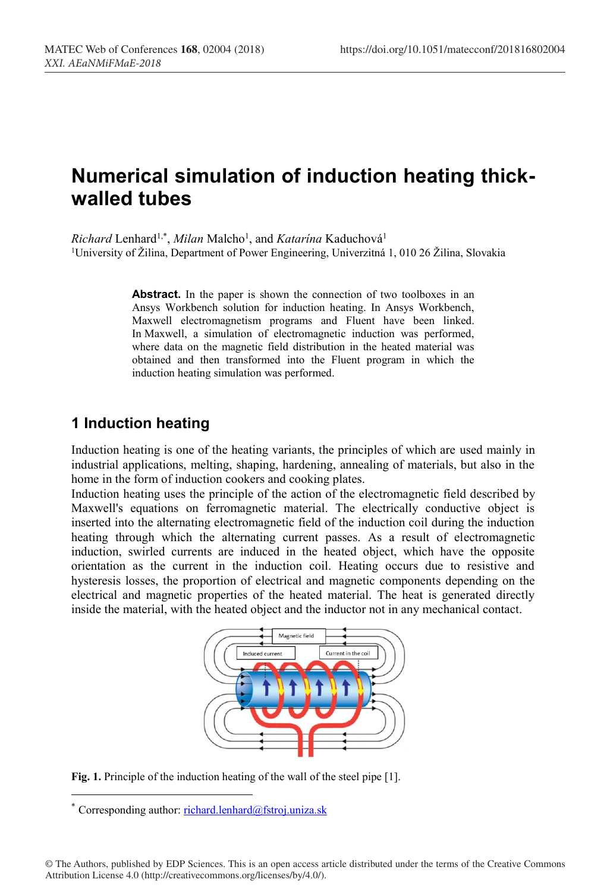# **Numerical simulation of induction heating thickwalled tubes**

Richard Lenhard<sup>1,\*</sup>, *Milan* Malcho<sup>1</sup>, and *Katarína* Kaduchová<sup>1</sup> <sup>1</sup>University of Žilina, Department of Power Engineering, Univerzitná 1, 010 26 Žilina, Slovakia

> Abstract. In the paper is shown the connection of two toolboxes in an Ansys Workbench solution for induction heating. In Ansys Workbench, Maxwell electromagnetism programs and Fluent have been linked. In Maxwell, a simulation of electromagnetic induction was performed, where data on the magnetic field distribution in the heated material was obtained and then transformed into the Fluent program in which the induction heating simulation was performed.

### **1 Induction heating**

Induction heating is one of the heating variants, the principles of which are used mainly in industrial applications, melting, shaping, hardening, annealing of materials, but also in the home in the form of induction cookers and cooking plates.

Induction heating uses the principle of the action of the electromagnetic field described by Maxwell's equations on ferromagnetic material. The electrically conductive object is inserted into the alternating electromagnetic field of the induction coil during the induction heating through which the alternating current passes. As a result of electromagnetic induction, swirled currents are induced in the heated object, which have the opposite orientation as the current in the induction coil. Heating occurs due to resistive and hysteresis losses, the proportion of electrical and magnetic components depending on the electrical and magnetic properties of the heated material. The heat is generated directly inside the material, with the heated object and the inductor not in any mechanical contact.



**Fig. 1.** Principle of the induction heating of the wall of the steel pipe [1].

 <sup>\*</sup> Corresponding author: richard.lenhard@fstroj.uniza.sk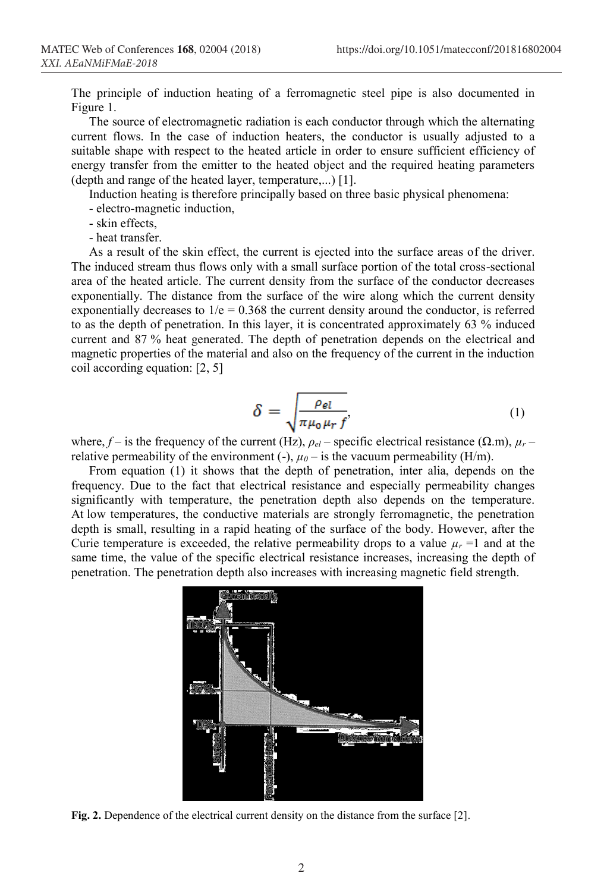The principle of induction heating of a ferromagnetic steel pipe is also documented in Figure 1.

The source of electromagnetic radiation is each conductor through which the alternating current flows. In the case of induction heaters, the conductor is usually adjusted to a suitable shape with respect to the heated article in order to ensure sufficient efficiency of energy transfer from the emitter to the heated object and the required heating parameters (depth and range of the heated layer, temperature,...) [1].

Induction heating is therefore principally based on three basic physical phenomena:

- electro-magnetic induction,
- skin effects,
- heat transfer.

As a result of the skin effect, the current is ejected into the surface areas of the driver. The induced stream thus flows only with a small surface portion of the total cross-sectional area of the heated article. The current density from the surface of the conductor decreases exponentially. The distance from the surface of the wire along which the current density exponentially decreases to  $1/e = 0.368$  the current density around the conductor, is referred to as the depth of penetration. In this layer, it is concentrated approximately 63 % induced current and 87 % heat generated. The depth of penetration depends on the electrical and magnetic properties of the material and also on the frequency of the current in the induction coil according equation: [2, 5]

$$
\delta = \sqrt{\frac{\rho_{el}}{\pi \mu_0 \mu_r f'}}
$$
 (1)

where,  $f -$  is the frequency of the current (Hz),  $\rho_{el}$  – specific electrical resistance ( $\Omega$ .m),  $\mu_r$  – relative permeability of the environment (-),  $\mu_0$  – is the vacuum permeability (H/m).

From equation (1) it shows that the depth of penetration, inter alia, depends on the frequency. Due to the fact that electrical resistance and especially permeability changes significantly with temperature, the penetration depth also depends on the temperature. At low temperatures, the conductive materials are strongly ferromagnetic, the penetration depth is small, resulting in a rapid heating of the surface of the body. However, after the Curie temperature is exceeded, the relative permeability drops to a value  $\mu_r = 1$  and at the same time, the value of the specific electrical resistance increases, increasing the depth of penetration. The penetration depth also increases with increasing magnetic field strength.



**Fig. 2.** Dependence of the electrical current density on the distance from the surface [2].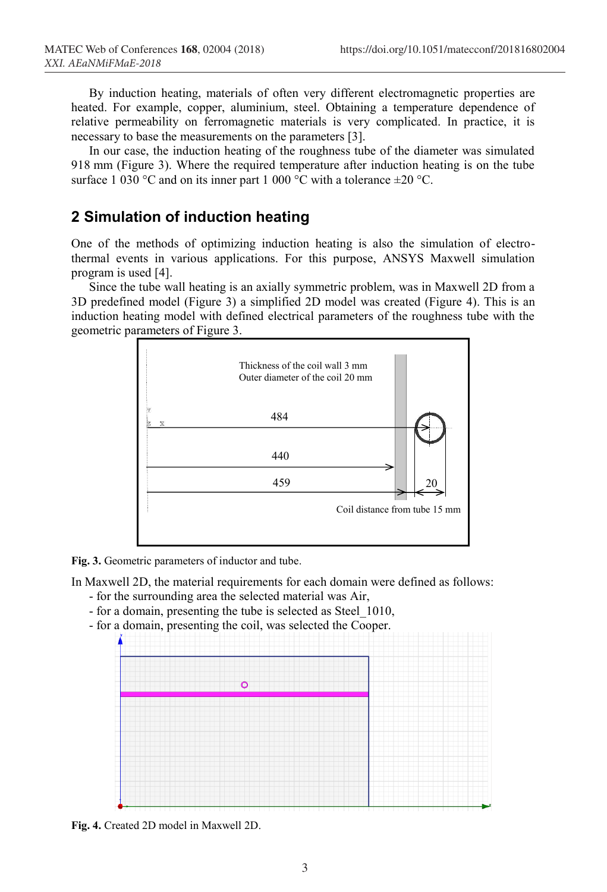By induction heating, materials of often very different electromagnetic properties are heated. For example, copper, aluminium, steel. Obtaining a temperature dependence of relative permeability on ferromagnetic materials is very complicated. In practice, it is necessary to base the measurements on the parameters [3].

In our case, the induction heating of the roughness tube of the diameter was simulated 918 mm (Figure 3). Where the required temperature after induction heating is on the tube surface 1 030 °C and on its inner part 1 000 °C with a tolerance  $\pm 20$  °C.

### **2 Simulation of induction heating**

One of the methods of optimizing induction heating is also the simulation of electrothermal events in various applications. For this purpose, ANSYS Maxwell simulation program is used [4].

Since the tube wall heating is an axially symmetric problem, was in Maxwell 2D from a 3D predefined model (Figure 3) a simplified 2D model was created (Figure 4). This is an induction heating model with defined electrical parameters of the roughness tube with the geometric parameters of Figure 3.



**Fig. 3.** Geometric parameters of inductor and tube.

In Maxwell 2D, the material requirements for each domain were defined as follows:

- for the surrounding area the selected material was Air,
- for a domain, presenting the tube is selected as Steel\_1010,
- for a domain, presenting the coil, was selected the Cooper.



**Fig. 4.** Created 2D model in Maxwell 2D.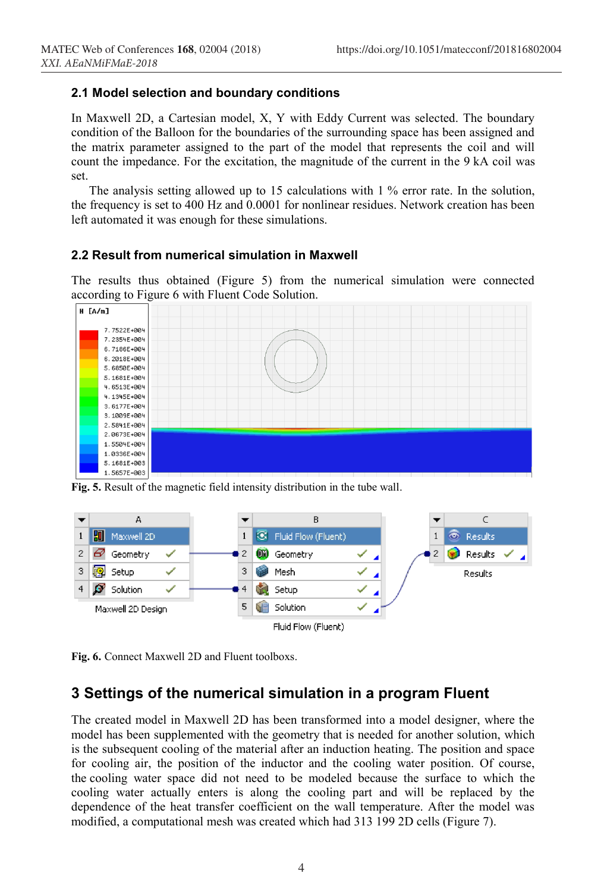#### **2.1 Model selection and boundary conditions**

In Maxwell 2D, a Cartesian model, X, Y with Eddy Current was selected. The boundary condition of the Balloon for the boundaries of the surrounding space has been assigned and the matrix parameter assigned to the part of the model that represents the coil and will count the impedance. For the excitation, the magnitude of the current in the 9 kA coil was set.

The analysis setting allowed up to 15 calculations with 1 % error rate. In the solution, the frequency is set to 400 Hz and 0.0001 for nonlinear residues. Network creation has been left automated it was enough for these simulations.

#### **2.2 Result from numerical simulation in Maxwell**

The results thus obtained (Figure 5) from the numerical simulation were connected according to Figure 6 with Fluent Code Solution.



**Fig. 5.** Result of the magnetic field intensity distribution in the tube wall.



**Fig. 6.** Connect Maxwell 2D and Fluent toolboxs.

### **3 Settings of the numerical simulation in a program Fluent**

The created model in Maxwell 2D has been transformed into a model designer, where the model has been supplemented with the geometry that is needed for another solution, which is the subsequent cooling of the material after an induction heating. The position and space for cooling air, the position of the inductor and the cooling water position. Of course, the cooling water space did not need to be modeled because the surface to which the cooling water actually enters is along the cooling part and will be replaced by the dependence of the heat transfer coefficient on the wall temperature. After the model was modified, a computational mesh was created which had 313 199 2D cells (Figure 7).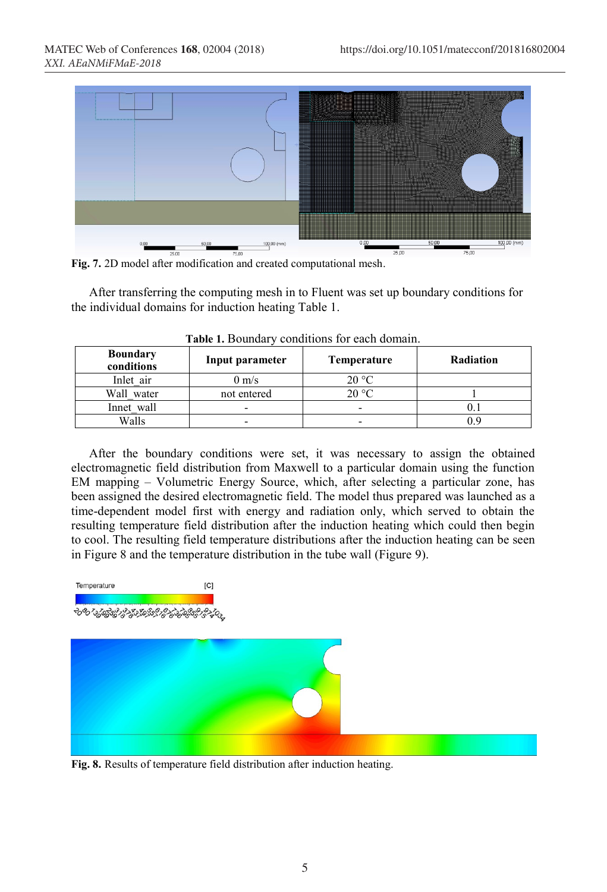

**Fig. 7.** 2D model after modification and created computational mesh.

After transferring the computing mesh in to Fluent was set up boundary conditions for the individual domains for induction heating Table 1.

| <b>Boundary</b><br>conditions | Input parameter          | <b>Temperature</b> | Radiation |
|-------------------------------|--------------------------|--------------------|-----------|
| Inlet air                     | $0 \text{ m/s}$          | 20 °C              |           |
| Wall water                    | not entered              | 20 °C              |           |
| Innet wall                    | $\overline{\phantom{0}}$ | -                  |           |
| Walls                         |                          |                    |           |

| Table 1. Boundary conditions for each domain. |  |
|-----------------------------------------------|--|
|-----------------------------------------------|--|

After the boundary conditions were set, it was necessary to assign the obtained electromagnetic field distribution from Maxwell to a particular domain using the function EM mapping – Volumetric Energy Source, which, after selecting a particular zone, has been assigned the desired electromagnetic field. The model thus prepared was launched as a time-dependent model first with energy and radiation only, which served to obtain the resulting temperature field distribution after the induction heating which could then begin to cool. The resulting field temperature distributions after the induction heating can be seen in Figure 8 and the temperature distribution in the tube wall (Figure 9).

Temperature  $[C]$ ઌૡ૾ઌૹ૾ૹૢૡૢૹૹૹૹ૱ૢૹૢૹૢૹ૾ૢઌૢ૱૱



**Fig. 8.** Results of temperature field distribution after induction heating.